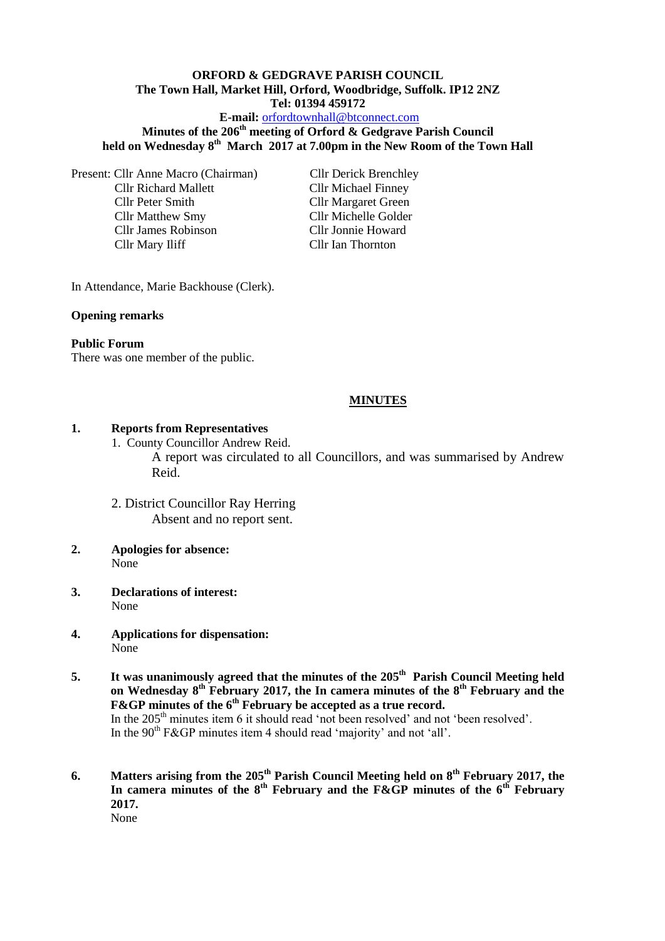#### **ORFORD & GEDGRAVE PARISH COUNCIL The Town Hall, Market Hill, Orford, Woodbridge, Suffolk. IP12 2NZ Tel: 01394 459172**

#### **E-mail:** [orfordtownhall@btconnect.com](mailto:orfordtownhall@btconnect.com)

## **Minutes of the 206th meeting of Orford & Gedgrave Parish Council held on Wednesday 8th March 2017 at 7.00pm in the New Room of the Town Hall**

Present: Cllr Anne Macro (Chairman) Cllr Derick Brenchley Cllr Richard Mallett Cllr Michael Finney Cllr Peter Smith Cllr Margaret Green Cllr Matthew Smy Cllr Michelle Golder Cllr James Robinson Cllr Jonnie Howard Cllr Mary Iliff Cllr Ian Thornton

In Attendance, Marie Backhouse (Clerk).

#### **Opening remarks**

#### **Public Forum**

There was one member of the public.

#### **MINUTES**

#### **1. Reports from Representatives**

- 1. County Councillor Andrew Reid. A report was circulated to all Councillors, and was summarised by Andrew Reid.
- 2. District Councillor Ray Herring Absent and no report sent.
- **2. Apologies for absence:** None
- **3. Declarations of interest:** None
- **4. Applications for dispensation:** None
- **5. It was unanimously agreed that the minutes of the 205th Parish Council Meeting held on Wednesday 8th February 2017, the In camera minutes of the 8th February and the F&GP minutes of the 6th February be accepted as a true record.** In the 205<sup>th</sup> minutes item 6 it should read 'not been resolved' and not 'been resolved'. In the  $90<sup>th</sup>$  F&GP minutes item 4 should read 'majority' and not 'all'.
- **6. Matters arising from the 205th Parish Council Meeting held on 8th February 2017, the In camera minutes of the 8th February and the F&GP minutes of the 6th February 2017.** None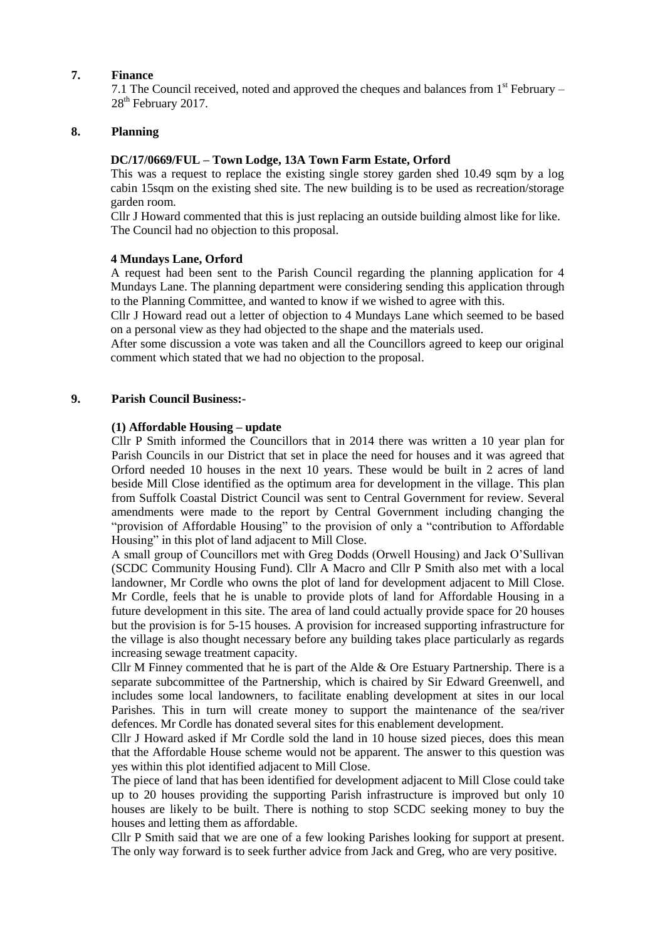#### **7. Finance**

7.1 The Council received, noted and approved the cheques and balances from  $1<sup>st</sup>$  February – 28<sup>th</sup> February 2017.

#### **8. Planning**

### **DC/17/0669/FUL – Town Lodge, 13A Town Farm Estate, Orford**

This was a request to replace the existing single storey garden shed 10.49 sqm by a log cabin 15sqm on the existing shed site. The new building is to be used as recreation/storage garden room.

Cllr J Howard commented that this is just replacing an outside building almost like for like. The Council had no objection to this proposal.

### **4 Mundays Lane, Orford**

A request had been sent to the Parish Council regarding the planning application for 4 Mundays Lane. The planning department were considering sending this application through to the Planning Committee, and wanted to know if we wished to agree with this.

Cllr J Howard read out a letter of objection to 4 Mundays Lane which seemed to be based on a personal view as they had objected to the shape and the materials used.

After some discussion a vote was taken and all the Councillors agreed to keep our original comment which stated that we had no objection to the proposal.

#### **9. Parish Council Business:-**

#### **(1) Affordable Housing – update**

Cllr P Smith informed the Councillors that in 2014 there was written a 10 year plan for Parish Councils in our District that set in place the need for houses and it was agreed that Orford needed 10 houses in the next 10 years. These would be built in 2 acres of land beside Mill Close identified as the optimum area for development in the village. This plan from Suffolk Coastal District Council was sent to Central Government for review. Several amendments were made to the report by Central Government including changing the "provision of Affordable Housing" to the provision of only a "contribution to Affordable Housing" in this plot of land adjacent to Mill Close.

A small group of Councillors met with Greg Dodds (Orwell Housing) and Jack O'Sullivan (SCDC Community Housing Fund). Cllr A Macro and Cllr P Smith also met with a local landowner, Mr Cordle who owns the plot of land for development adjacent to Mill Close. Mr Cordle, feels that he is unable to provide plots of land for Affordable Housing in a future development in this site. The area of land could actually provide space for 20 houses but the provision is for 5-15 houses. A provision for increased supporting infrastructure for the village is also thought necessary before any building takes place particularly as regards increasing sewage treatment capacity.

Cllr M Finney commented that he is part of the Alde & Ore Estuary Partnership. There is a separate subcommittee of the Partnership, which is chaired by Sir Edward Greenwell, and includes some local landowners, to facilitate enabling development at sites in our local Parishes. This in turn will create money to support the maintenance of the sea/river defences. Mr Cordle has donated several sites for this enablement development.

Cllr J Howard asked if Mr Cordle sold the land in 10 house sized pieces, does this mean that the Affordable House scheme would not be apparent. The answer to this question was yes within this plot identified adjacent to Mill Close.

The piece of land that has been identified for development adjacent to Mill Close could take up to 20 houses providing the supporting Parish infrastructure is improved but only 10 houses are likely to be built. There is nothing to stop SCDC seeking money to buy the houses and letting them as affordable.

Cllr P Smith said that we are one of a few looking Parishes looking for support at present. The only way forward is to seek further advice from Jack and Greg, who are very positive.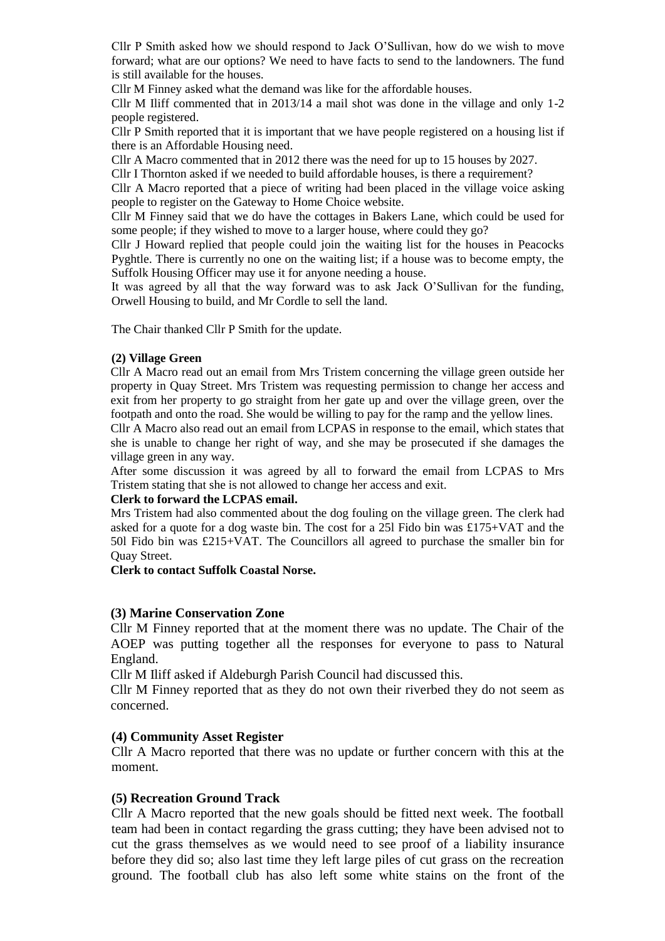Cllr P Smith asked how we should respond to Jack O'Sullivan, how do we wish to move forward; what are our options? We need to have facts to send to the landowners. The fund is still available for the houses.

Cllr M Finney asked what the demand was like for the affordable houses.

Cllr M Iliff commented that in 2013/14 a mail shot was done in the village and only 1-2 people registered.

Cllr P Smith reported that it is important that we have people registered on a housing list if there is an Affordable Housing need.

Cllr A Macro commented that in 2012 there was the need for up to 15 houses by 2027.

Cllr I Thornton asked if we needed to build affordable houses, is there a requirement?

Cllr A Macro reported that a piece of writing had been placed in the village voice asking people to register on the Gateway to Home Choice website.

Cllr M Finney said that we do have the cottages in Bakers Lane, which could be used for some people; if they wished to move to a larger house, where could they go?

Cllr J Howard replied that people could join the waiting list for the houses in Peacocks Pyghtle. There is currently no one on the waiting list; if a house was to become empty, the Suffolk Housing Officer may use it for anyone needing a house.

It was agreed by all that the way forward was to ask Jack O'Sullivan for the funding, Orwell Housing to build, and Mr Cordle to sell the land.

The Chair thanked Cllr P Smith for the update.

#### **(2) Village Green**

Cllr A Macro read out an email from Mrs Tristem concerning the village green outside her property in Quay Street. Mrs Tristem was requesting permission to change her access and exit from her property to go straight from her gate up and over the village green, over the footpath and onto the road. She would be willing to pay for the ramp and the yellow lines.

Cllr A Macro also read out an email from LCPAS in response to the email, which states that she is unable to change her right of way, and she may be prosecuted if she damages the village green in any way.

After some discussion it was agreed by all to forward the email from LCPAS to Mrs Tristem stating that she is not allowed to change her access and exit.

#### **Clerk to forward the LCPAS email.**

Mrs Tristem had also commented about the dog fouling on the village green. The clerk had asked for a quote for a dog waste bin. The cost for a 25l Fido bin was £175+VAT and the 50l Fido bin was £215+VAT. The Councillors all agreed to purchase the smaller bin for Quay Street.

**Clerk to contact Suffolk Coastal Norse.**

#### **(3) Marine Conservation Zone**

Cllr M Finney reported that at the moment there was no update. The Chair of the AOEP was putting together all the responses for everyone to pass to Natural England.

Cllr M Iliff asked if Aldeburgh Parish Council had discussed this.

Cllr M Finney reported that as they do not own their riverbed they do not seem as concerned.

#### **(4) Community Asset Register**

Cllr A Macro reported that there was no update or further concern with this at the moment.

#### **(5) Recreation Ground Track**

Cllr A Macro reported that the new goals should be fitted next week. The football team had been in contact regarding the grass cutting; they have been advised not to cut the grass themselves as we would need to see proof of a liability insurance before they did so; also last time they left large piles of cut grass on the recreation ground. The football club has also left some white stains on the front of the